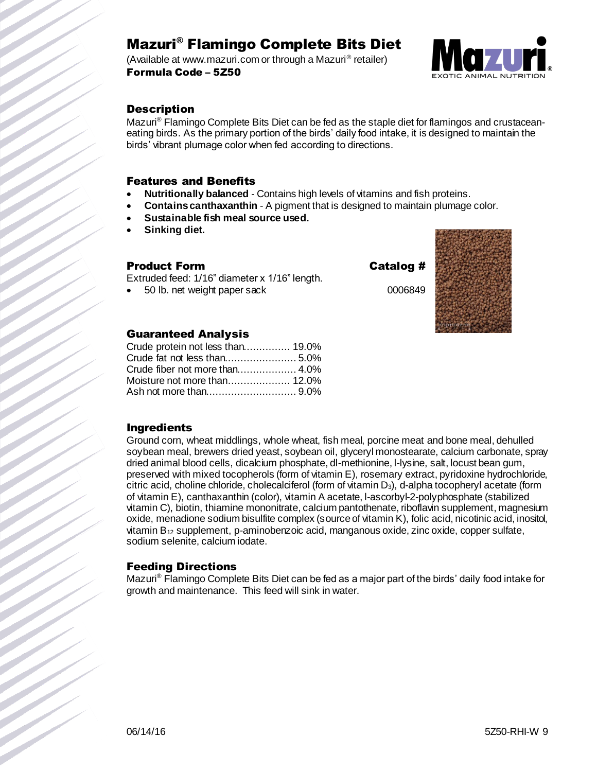## Mazuri® Flamingo Complete Bits Diet

(Available at www.mazuri.com or through a Mazuri® retailer) Formula Code – 5Z50



### **Description**

Mazuri<sup>®</sup> Flamingo Complete Bits Diet can be fed as the staple diet for flamingos and crustaceaneating birds. As the primary portion of the birds' daily food intake, it is designed to maintain the birds' vibrant plumage color when fed according to directions.

### Features and Benefits

- **Nutritionally balanced** Contains high levels of vitamins and fish proteins.
- **Contains canthaxanthin** A pigment that is designed to maintain plumage color.
- **Sustainable fish meal source used.**
- **Sinking diet.**

### Product Form Catalog #

Extruded feed: 1/16" diameter x 1/16" length.

50 lb. net weight paper sack 0006849



### Guaranteed Analysis

| Crude protein not less than 19.0% |  |
|-----------------------------------|--|
|                                   |  |
|                                   |  |
|                                   |  |
|                                   |  |

### Ingredients

Ground corn, wheat middlings, whole wheat, fish meal, porcine meat and bone meal, dehulled soybean meal, brewers dried yeast, soybean oil, glyceryl monostearate, calcium carbonate, spray dried animal blood cells, dicalcium phosphate, dl-methionine, l-lysine, salt, locust bean gum, preserved with mixed tocopherols (form of vitamin E), rosemary extract, pyridoxine hydrochloride, citric acid, choline chloride, cholecalciferol (form of vitamin  $D_3$ ), d-alpha tocopheryl acetate (form of vitamin E), canthaxanthin (color), vitamin A acetate, l-ascorbyl-2-polyphosphate (stabilized vitamin C), biotin, thiamine mononitrate, calcium pantothenate, riboflavin supplement, magnesium oxide, menadione sodium bisulfite complex (source of vitamin K), folic acid, nicotinic acid, inositol, vitamin  $B_{12}$  supplement, p-aminobenzoic acid, manganous oxide, zinc oxide, copper sulfate, sodium selenite, calcium iodate.

### Feeding Directions

Mazuri® Flamingo Complete Bits Diet can be fed as a major part of the birds' daily food intake for growth and maintenance. This feed will sink in water.